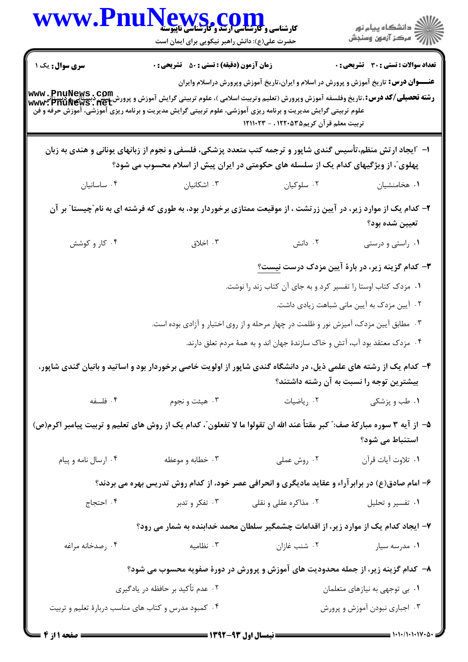| WWW.PnuNews.com                                                                                                                                                                                                                                                                                                            | حضرت علی(ع): دانش راهبر نیکویی برای ایمان است      |                                                                                                                                                                                                    | ر<br>دانشڪاه پيام نور)<br>سڪز آزمون وسنڊش                       |
|----------------------------------------------------------------------------------------------------------------------------------------------------------------------------------------------------------------------------------------------------------------------------------------------------------------------------|----------------------------------------------------|----------------------------------------------------------------------------------------------------------------------------------------------------------------------------------------------------|-----------------------------------------------------------------|
| <b>سری سوال :</b> یک ۱<br><b>www . PnuNews . Com</b><br><b>رشته تحصیلی/کد درس: ،</b> تاریخ وفلسفه آموزش وپرورش (تعلیم وتربیت اسلامی )، علوم تربیتی گرایش آموزش و پرورش بیش دبستانی<br>www . PnuNews . net<br>علوم تربیتی گرایش مدیریت و برنامه ریزی آموزشی، علوم تربیتی گرایش مدیریت و برنامه ریزی آموزشی، آموزش حرفه و فن | <b>زمان آزمون (دقیقه) : تستی : 50 ٪ تشریحی : 0</b> | <b>عنـــوان درس:</b> تاریخ آموزش و پرورش در اسلام و ایران،تاریخ آموزش وپرورش دراسلام وایران<br>تربیت معلم قرآن کریم۱۲۲۰۵۳۵ ، - ۱۲۱۱۰۲۳                                                             | <b>تعداد سوالات : تستی : 30 ٪ تشریحی : 0</b>                    |
|                                                                                                                                                                                                                                                                                                                            |                                                    | ۱– آیجاد ارتش منظم،تأسیس گندی شاپور و ترجمه کتب متعدد پزشکی، فلسفی و نجوم از زبانهای یونانی و هندی به زبان<br>پهلوی ّ، از ویژگیهای کدام یک از سلسله های حکومتی در ایران پیش از اسلام محسوب می شود؟ |                                                                 |
| ۰۴ ساسانيان                                                                                                                                                                                                                                                                                                                | ۰۳ اشکانیان                                        | ۰۲ سلوکیان                                                                                                                                                                                         | ٠١ هخامنشيان                                                    |
|                                                                                                                                                                                                                                                                                                                            |                                                    | ۲- کدام یک از موارد زیر، در آیین زرتشت ، از موقیعت ممتازی برخوردار بود، به طوری که فرشته ای به نام ّچیستا ّ بر آن                                                                                  | تعيين شده بود؟                                                  |
| ۰۴ کار و کوشش                                                                                                                                                                                                                                                                                                              | ۰۳ اخلاق                                           | ۰۲ دانش                                                                                                                                                                                            | ۰۱ راستی و درستی                                                |
|                                                                                                                                                                                                                                                                                                                            |                                                    |                                                                                                                                                                                                    | <b>۳</b> – کدام گزینه زیر، در بارهٔ آیین مزدک درست <u>نیست؟</u> |
|                                                                                                                                                                                                                                                                                                                            |                                                    | ۰۱ مزدک کتاب اوستا را تفسیر کرد و به جای آن کتاب زند را نوشت.                                                                                                                                      |                                                                 |
|                                                                                                                                                                                                                                                                                                                            |                                                    |                                                                                                                                                                                                    | ۰۲ آیین مزدک به آیین مانی شباهت زیادی داشت.                     |
|                                                                                                                                                                                                                                                                                                                            |                                                    | ۰۳ مطابق آیین مزدک، آمیزش نور و ظلمت در چهار مرحله و از روی اختیار و آزادی بوده است.                                                                                                               |                                                                 |
|                                                                                                                                                                                                                                                                                                                            |                                                    | ۰۴ مزدک معتقد بود آب، آتش و خاک سازندهٔ جهان اند و به همهٔ مردم تعلق دارند.                                                                                                                        |                                                                 |
| ۴- کدام یک از رشته های علمی ذیل، در دانشگاه گندی شاپور از اولویت خاصی برخوردار بود و اساتید و بانیان گندی شاپور،                                                                                                                                                                                                           |                                                    |                                                                                                                                                                                                    | بیشترین توجه را نسبت به آن رشته داشتند؟                         |
| ۰۴ فلسفه                                                                                                                                                                                                                                                                                                                   | ۰۳ هيئت و نجوم                                     |                                                                                                                                                                                                    | <b>۱</b> . طب و پزشکی $\cdot$ ۲ $\cdot$ ، ریاضیات               |
| ۵– از آیه ۳ سوره مبارکهٔ صف: ؒ کبر مقتاً عند الله ان تقولوا ما لا تفعلون ؒ، کدام یک از روش های تعلیم و تربیت پیامبر اکرم(ص)                                                                                                                                                                                                |                                                    |                                                                                                                                                                                                    | استنباط می شود؟                                                 |
| ۰۴ ارسال نامه و پيام                                                                                                                                                                                                                                                                                                       | ۰۳ خطابه و موعظه                                   | ۰۲ روش عملی                                                                                                                                                                                        | ٠١. تلاوت آيات قرآن                                             |
|                                                                                                                                                                                                                                                                                                                            |                                                    | ۶- امام صادق(ع) در برابرآراء و عقاید مادیگری و انحرافی عصر خود، از کدام روش تدریس بهره می بردند؟                                                                                                   |                                                                 |
| ۰۴ احتجاج                                                                                                                                                                                                                                                                                                                  |                                                    | ۰۲ مذاکره عقلی و نقلی سیست ۰۳ تفکر و تدبر                                                                                                                                                          | ۰۱ تفسیر و تحلیل                                                |
|                                                                                                                                                                                                                                                                                                                            |                                                    | ۷– ایجاد کدام یک از موارد زیر، از اقدامات چشمگیر سلطان محمد خدابنده به شمار می رود؟                                                                                                                |                                                                 |
| ۰۴ رصدخانه مراغه                                                                                                                                                                                                                                                                                                           | ۰۳ نظامیه                                          | ۰۲ شنب غازان                                                                                                                                                                                       | ۰۱ مدرسه سیار                                                   |
|                                                                                                                                                                                                                                                                                                                            |                                                    | ۸– کدام گزینه زیر، از جمله محدودیت های آموزش و پرورش در دورهٔ صفویه محسوب می شود؟                                                                                                                  |                                                                 |
|                                                                                                                                                                                                                                                                                                                            | ۰۲ عدم تأکید بر حافظه در یادگیری                   |                                                                                                                                                                                                    | ۰۱ بی توجهی به نیازهای متعلمان                                  |
| ۰۴ کمبود مدرس و کتاب های مناسب دربارهٔ تعلیم و تربیت                                                                                                                                                                                                                                                                       |                                                    |                                                                                                                                                                                                    | ۰۳ اجباری نبودن آموزش و پرورش                                   |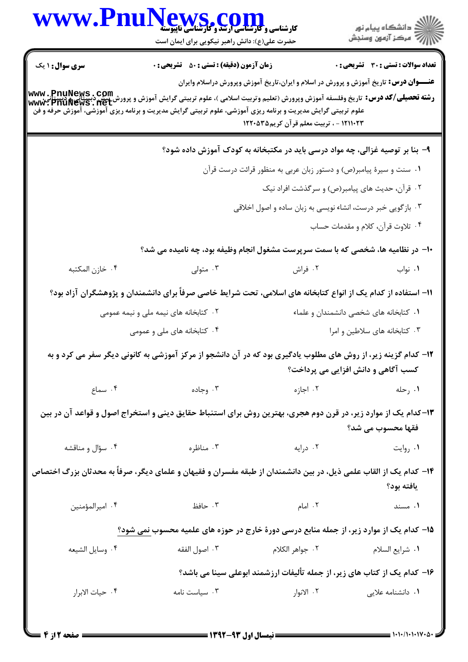| www.Pn                 | کارشناسی و کارشناسی ارتقد و کارشناسی ناپیوسته<br>حضرت علی(ع): دانش راهبر نیکویی برای ایمان است                                                                                                                                                                            |                                         | ِ دانشگاه پيام نور<br>// مرکز آزمون وسنڊش                                                                                 |
|------------------------|---------------------------------------------------------------------------------------------------------------------------------------------------------------------------------------------------------------------------------------------------------------------------|-----------------------------------------|---------------------------------------------------------------------------------------------------------------------------|
| <b>سری سوال : ۱ یک</b> | <b>زمان آزمون (دقیقه) : تستی : 50 ٪ تشریحی : 0</b>                                                                                                                                                                                                                        |                                         | <b>تعداد سوالات : تستی : 30 ٪ تشریحی : 0</b>                                                                              |
|                        | <b>رشته تحصیلی/کد درس:</b> تاریخ وفلسفه آموزش وپرورش (تعلیم وتربیت اسلامی )، علوم تربیتی گرایش آموزش و پرورش بیش دبستانی و دستتانی<br>Www: PnuNews . net<br>علوم تربیتی گرایش مدیریت و برنامه ریزی آموزشی، علوم تربیتی گرایش مدیریت و برنامه ریزی آموزشی، آموزش حرفه و فن | ۱۲۱۱۰۲۳ - ، تربیت معلم قرآن کریم۱۲۲۰۵۳۵ | <b>عنـــوان درس:</b> تاریخ آموزش و پرورش در اسلام و ایران،تاریخ آموزش وپرورش دراسلام وایران                               |
|                        |                                                                                                                                                                                                                                                                           |                                         | ۹- بنا بر توصیه غزالی، چه مواد درسی باید در مکتبخانه به کودک آموزش داده شود؟                                              |
|                        |                                                                                                                                                                                                                                                                           |                                         | ۰۱ سنت و سیرهٔ پیامبر(ص) و دستور زبان عربی به منظور قرائت درست قرآن                                                       |
|                        |                                                                                                                                                                                                                                                                           |                                         | ۰۲ قرآن، حدیث های پیامبر(ص) و سرگذشت افراد نیک                                                                            |
|                        |                                                                                                                                                                                                                                                                           |                                         | ۰۳ بازگویی خبر درست، انشاء نویسی به زبان ساده و اصول اخلاقی                                                               |
|                        |                                                                                                                                                                                                                                                                           |                                         | ۰۴ تلاوت قرآن، کلام و مقدمات حساب                                                                                         |
|                        | ۱۰– در نظامیه ها، شخصی که با سمت سرپرست مشغول انجام وظیفه بود، چه نامیده می شد؟                                                                                                                                                                                           |                                         |                                                                                                                           |
| ۰۴ خازن المكتبه        | ۰۳ متولی                                                                                                                                                                                                                                                                  | ۰۲ فراش                                 | ٠١ نواب                                                                                                                   |
|                        | 1۱– استفاده از کدام یک از انواع کتابخانه های اسلامی، تحت شرایط خاصی صرفاً برای دانشمندان و پژوهشگران آزاد بود؟                                                                                                                                                            |                                         |                                                                                                                           |
|                        | ۰۲ کتابخانه های نیمه ملی و نیمه عمومی                                                                                                                                                                                                                                     |                                         | ۰۱ کتابخانه های شخصی دانشمندان و علماء                                                                                    |
|                        | ۰۴ کتابخانه های ملی و عمومی                                                                                                                                                                                                                                               | ۰۳ کتابخانه های سلاطین و امرا           |                                                                                                                           |
|                        | ۱۲- کدام گزینه زیر، از روش های مطلوب یادگیری بود که در آن دانشجو از مرکز آموزشی به کانونی دیگر سفر می کرد و به                                                                                                                                                            |                                         | کسب آگاهی و دانش افزایی می پرداخت؟                                                                                        |
| ۰۴ سماع                | ۰۳ وجاده $\cdot$                                                                                                                                                                                                                                                          |                                         | <b>۱.</b> رحله اجازه انتخاب الله با با استفاده با با استفاده با با استفاده با استفاده با استفاده با استفاده با با استفاده |
|                        | ۱۳-کدام یک از موارد زیر، در قرن دوم هجری، بهترین روش برای استنباط حقایق دینی و استخراج اصول و قواعد آن در بین                                                                                                                                                             |                                         | فقها محسوب مي شد؟                                                                                                         |
| ۰۴ سؤال و مناقشه       |                                                                                                                                                                                                                                                                           | ۰۲ درایه استان و تاریخ است. ساطره است   | ۰۱ روایت                                                                                                                  |
|                        | ۱۴– کدام یک از القاب علمی ذیل، در بین دانشمندان از طبقه مفسران و فقیهان و علمای دیگر، صرفاً به محدثان بزرگ اختصاص                                                                                                                                                         |                                         | يافته بود؟                                                                                                                |
| ۰۴ اميرالمؤمنين        | ٢. امام مستخدم المستخدم المستخدم المستخدم المستخدم المستخدم المستخدم المستخدم المستخدم المستخدم المستخدم المستخدم المستخدم المستخدم المستخدم المستخدم المستخدم المستخدم المستخدم المستخدم المستخدم المستخدم المستخدم المستخدم                                             |                                         | ۰۱ مسند                                                                                                                   |
|                        | ۱۵– کدام یک از موارد زیر، از جمله منابع درسی دورهٔ خارج در حوزه های علمیه محسوب <u>نمی</u> شود؟                                                                                                                                                                           |                                         |                                                                                                                           |
| ۰۴ وسايل الشيعه        | ۰۳ اصول الفقه                                                                                                                                                                                                                                                             |                                         |                                                                                                                           |
|                        |                                                                                                                                                                                                                                                                           |                                         | ۱۶- کدام یک از کتاب های زیر، از جمله تألیفات ارزشمند ابوعلی سینا می باشد؟                                                 |
| ۰۴ حيات الابرار        | ۰۳ سیاست نامه                                                                                                                                                                                                                                                             |                                         | ۰۱ دانشنامه علایی هستاس ۲۰ الانوار                                                                                        |
|                        |                                                                                                                                                                                                                                                                           |                                         |                                                                                                                           |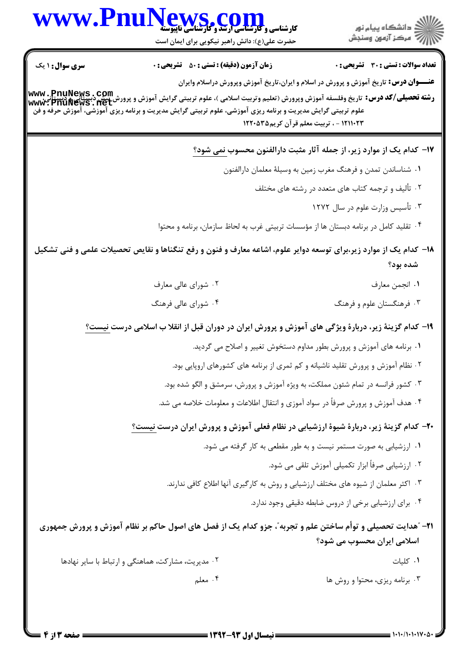|                        | WWW.PnuNews.com<br>حضرت علی(ع): دانش راهبر نیکویی برای ایمان است                                              | ر<br>دانشڪاه پيام نور)<br>اڳ مرڪز آزمون وسنڊش                                                                                                                                                                                                                                                                            |
|------------------------|---------------------------------------------------------------------------------------------------------------|--------------------------------------------------------------------------------------------------------------------------------------------------------------------------------------------------------------------------------------------------------------------------------------------------------------------------|
| <b>سری سوال : ۱ یک</b> | <b>زمان آزمون (دقیقه) : تستی : 50 ٪ تشریحی : 0</b>                                                            | <b>تعداد سوالات : تستی : 30 ٪ تشریحی : 0</b>                                                                                                                                                                                                                                                                             |
|                        | علوم تربیتی گرایش مدیریت و برنامه ریزی آموزشی، علوم تربیتی گرایش مدیریت و برنامه ریزی آموزشی، آموزش حرفه و فن | <b>عنـــوان درس:</b> تاریخ آموزش و پرورش در اسلام و ایران،تاریخ آموزش وپرورش دراسلام وایران<br><b>رشته تحصیلی/کد درس:</b> تاریخ وفلسفه آموزش وپرورش (تعلیم وتربیت اسلامی )، علوم تربیتی گرایش آموزش و پرورش بیش دبستانی و دبستانی، www . PnuNews . Com<br>www . PnuNews . net<br>۱۲۱۱۰۲۳ - ، تربیت معلم قرآن کریم۱۲۲۰۵۳۵ |
|                        |                                                                                                               | ۱۷- کدام یک از موارد زیر، از جمله آثار مثبت دارالفنون محسوب <u>نمی شود؟</u>                                                                                                                                                                                                                                              |
|                        |                                                                                                               | ۱. شناساندن تمدن و فرهنگ مغرب زمین به وسیلهٔ معلمان دارالفنون                                                                                                                                                                                                                                                            |
|                        |                                                                                                               | ۰۲ تألیف و ترجمه کتاب های متعدد در رشته های مختلف                                                                                                                                                                                                                                                                        |
|                        |                                                                                                               | ۰۳ تأسیس وزارت علوم در سال ۱۲۷۲                                                                                                                                                                                                                                                                                          |
|                        |                                                                                                               | ۰۴ تقلید کامل در برنامه دبستان ها از مؤسسات تربیتی غرب به لحاظ سازمان، برنامه و محتوا                                                                                                                                                                                                                                    |
|                        |                                                                                                               | ۱۸– کدام یک از موارد زیر،برای توسعه دوایر علوم، اشاعه معارف و فنون و رفع تنگناها و نقایص تحصیلات علمی و فنی تشکیل<br>شده بود؟                                                                                                                                                                                            |
|                        | ۰۲ شورای عالی معارف                                                                                           | ٠١ انجمن معارف                                                                                                                                                                                                                                                                                                           |
|                        | ۰۴ شورای عالی فرهنگ                                                                                           | ۰۳ فرهنگستان علوم و فرهنگ                                                                                                                                                                                                                                                                                                |
|                        |                                                                                                               | ۱۹- کدام گزینهٔ زیر، دربارهٔ ویژگی های آموزش و پرورش ایران در دوران قبل از انقلا ب اسلامی درست <u>نیست؟</u>                                                                                                                                                                                                              |
|                        |                                                                                                               | ۰۱ برنامه های آموزش و پرورش بطور مداوم دستخوش تغییر و اصلاح می گردید.                                                                                                                                                                                                                                                    |
|                        |                                                                                                               | ۰۲ نظام آموزش و پرورش تقلید ناشیانه و کم ثمری از برنامه های کشورهای اروپایی بود.                                                                                                                                                                                                                                         |
|                        |                                                                                                               | ۰۳ کشور فرانسه در تمام شئون مملکت، به ویژه آموزش و پرورش، سرمشق و الگو شده بود.                                                                                                                                                                                                                                          |
|                        |                                                                                                               | ۰۴ هدف آموزش و پرورش صرفاً در سواد آموزی و انتقال اطلاعات و معلومات خلاصه می شد.                                                                                                                                                                                                                                         |
|                        |                                                                                                               | <b>-۲-</b> کدام گزینهٔ زیر، دربارهٔ شیوهٔ ارزشیابی در نظام فعلی آموزش و پرورش ایران درست <u>نیست؟</u>                                                                                                                                                                                                                    |
|                        |                                                                                                               | ۰۱ ارزشیابی به صورت مستمر نیست و به طور مقطعی به کار گرفته می شود.                                                                                                                                                                                                                                                       |
|                        |                                                                                                               | ۰۲ ارزشیابی صرفاً ابزار تکمیلی آموزش تلقی می شود.                                                                                                                                                                                                                                                                        |
|                        |                                                                                                               | ۰۳ اکثر معلمان از شیوه های مختلف ارزشیابی و روش به کارگیری آنها اطلاع کافی ندارند.                                                                                                                                                                                                                                       |
|                        |                                                                                                               | ۰۴ برای ارزشیابی برخی از دروس ضابطه دقیقی وجود ندارد.                                                                                                                                                                                                                                                                    |
|                        |                                                                                                               | <b>۳۱</b> – "هدایت تحصیلی و توأم ساختن علم و تجربه"، جزو کدام یک از فصل های اصول حاکم بر نظام آموزش و پرورش جمهوری<br>اسلامی ایران محسوب می شود؟                                                                                                                                                                         |
|                        | ۰۲ مدیریت، مشارکت، هماهنگی و ارتباط با سایر نهادها                                                            | ۰۱ کلیات                                                                                                                                                                                                                                                                                                                 |
|                        | ۰۴ معلم                                                                                                       |                                                                                                                                                                                                                                                                                                                          |

 $= 1 - 1 - 11 - 11 - 10 - 2$